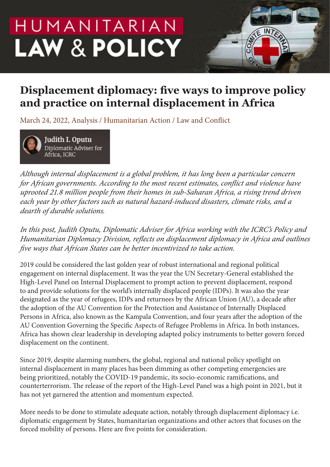# HUMANITARIAN **LAW & POLICY**

# **Displacement diplomacy: five ways to improve policy and practice on internal displacement in Africa**

March 24, 2022, Analysis / Humanitarian Action / Law and Conflict



**Judith I. Oputu** Diplomatic Adviser for Africa, ICRC

*Although internal displacement is a global problem, it has long been a particular concern for African governments. According to the most recent estimates, conflict and violence have uprooted 21.8 million people from their homes in sub-Saharan Africa, a rising trend driven each year by other factors such as natural hazard-induced disasters, climate risks, and a dearth of durable solutions.*

*In this post, Judith Oputu, Diplomatic Adviser for Africa working with the ICRC's Policy and Humanitarian Diplomacy Division, reflects on displacement diplomacy in Africa and outlines five ways that African States can be better incentivized to take action.*

2019 could be considered the last golden year of robust international and regional political engagement on internal displacement. It was the year the UN Secretary-General established the High-Level Panel on Internal Displacement to prompt action to prevent displacement, respond to and provide solutions for the world's internally displaced people (IDPs). It was also the year designated as the year of refugees, IDPs and returnees by the African Union (AU), a decade after the adoption of the AU Convention for the Protection and Assistance of Internally Displaced Persons in Africa, also known as the Kampala Convention, and four years after the adoption of the AU Convention Governing the Specific Aspects of Refugee Problems in Africa. In both instances, Africa has shown clear leadership in developing adapted policy instruments to better govern forced displacement on the continent.

Since 2019, despite alarming numbers, the global, regional and national policy spotlight on internal displacement in many places has been dimming as other competing emergencies are being prioritized, notably the COVID-19 pandemic, its socio-economic ramifications, and counterterrorism. The release of the report of the High-Level Panel was a high point in 2021, but it has not yet garnered the attention and momentum expected.

More needs to be done to stimulate adequate action, notably through displacement diplomacy i.e. diplomatic engagement by States, humanitarian organizations and other actors that focuses on the forced mobility of persons. Here are five points for consideration.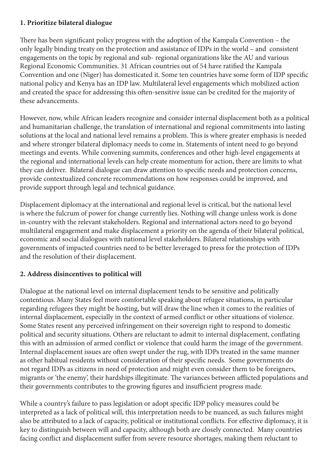#### **1. Prioritize bilateral dialogue**

There has been significant policy progress with the adoption of the Kampala Convention – the only legally binding treaty on the protection and assistance of IDPs in the world – and consistent engagements on the topic by regional and sub- regional organizations like the AU and various Regional Economic Communities. 31 African countries out of 54 have ratified the Kampala Convention and one (Niger) has domesticated it. Some ten countries have some form of IDP specific national policy and Kenya has an IDP law. Multilateral level engagements which mobilized action and created the space for addressing this often-sensitive issue can be credited for the majority of these advancements.

However, now, while African leaders recognize and consider internal displacement both as a political and humanitarian challenge, the translation of international and regional commitments into lasting solutions at the local and national level remains a problem. This is where greater emphasis is needed and where stronger bilateral diplomacy needs to come in. Statements of intent need to go beyond meetings and events. While convening summits, conferences and other high-level engagements at the regional and international levels can help create momentum for action, there are limits to what they can deliver. Bilateral dialogue can draw attention to specific needs and protection concerns, provide contextualized concrete recommendations on how responses could be improved, and provide support through legal and technical guidance.

Displacement diplomacy at the international and regional level is critical, but the national level is where the fulcrum of power for change currently lies. Nothing will change unless work is done in-country with the relevant stakeholders. Regional and international actors need to go beyond multilateral engagement and make displacement a priority on the agenda of their bilateral political, economic and social dialogues with national level stakeholders. Bilateral relationships with governments of impacted countries need to be better leveraged to press for the protection of IDPs and the resolution of their displacement.

# **2. Address disincentives to political will**

Dialogue at the national level on internal displacement tends to be sensitive and politically contentious. Many States feel more comfortable speaking about refugee situations, in particular regarding refugees they might be hosting, but will draw the line when it comes to the realities of internal displacement, especially in the context of armed conflict or other situations of violence. Some States resent any perceived infringement on their sovereign right to respond to domestic political and security situations. Others are reluctant to admit to internal displacement, conflating this with an admission of armed conflict or violence that could harm the image of the government. Internal displacement issues are often swept under the rug, with IDPs treated in the same manner as other habitual residents without consideration of their specific needs. Some governments do not regard IDPs as citizens in need of protection and might even consider them to be foreigners, migrants or 'the enemy', their hardships illegitimate. The variances between afflicted populations and their governments contributes to the growing figures and insufficient progress made.

While a country's failure to pass legislation or adopt specific IDP policy measures could be interpreted as a lack of political will, this interpretation needs to be nuanced, as such failures might also be attributed to a lack of capacity, political or institutional conflicts. For effective diplomacy, it is key to distinguish between will and capacity, although both are closely connected. Many countries facing conflict and displacement suffer from severe resource shortages, making them reluctant to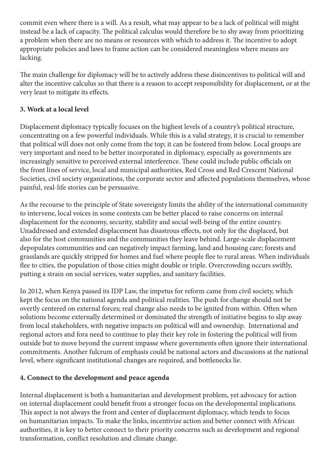commit even where there is a will. As a result, what may appear to be a lack of political will might instead be a lack of capacity. The political calculus would therefore be to shy away from prioritizing a problem when there are no means or resources with which to address it. The incentive to adopt appropriate policies and laws to frame action can be considered meaningless where means are lacking.

The main challenge for diplomacy will be to actively address these disincentives to political will and alter the incentive calculus so that there is a reason to accept responsibility for displacement, or at the very least to mitigate its effects.

### **3. Work at a local level**

Displacement diplomacy typically focuses on the highest levels of a country's political structure, concentrating on a few powerful individuals. While this is a valid strategy, it is crucial to remember that political will does not only come from the top; it can be fostered from below. Local groups are very important and need to be better incorporated in diplomacy, especially as governments are increasingly sensitive to perceived external interference. These could include public officials on the front lines of service, local and municipal authorities, Red Cross and Red Crescent National Societies, civil society organizations, the corporate sector and affected populations themselves, whose painful, real-life stories can be persuasive.

As the recourse to the principle of State sovereignty limits the ability of the international community to intervene, local voices in some contexts can be better placed to raise concerns on internal displacement for the economy, security, stability and social well-being of the entire country. Unaddressed and extended displacement has disastrous effects, not only for the displaced, but also for the host communities and the communities they leave behind. Large-scale displacement depopulates communities and can negatively impact farming, land and housing care; forests and grasslands are quickly stripped for homes and fuel where people flee to rural areas. When individuals flee to cities, the population of those cities might double or triple. Overcrowding occurs swiftly, putting a strain on social services, water supplies, and sanitary facilities.

In 2012, when Kenya passed its IDP Law, the impetus for reform came from civil society, which kept the focus on the national agenda and political realities. The push for change should not be overtly centered on external forces; real change also needs to be ignited from within. Often when solutions become externally determined or dominated the strength of initiative begins to slip away from local stakeholders, with negative impacts on political will and ownership. International and regional actors and fora need to continue to play their key role in fostering the political will from outside but to move beyond the current impasse where governments often ignore their international commitments. Another fulcrum of emphasis could be national actors and discussions at the national level, where significant institutional changes are required, and bottlenecks lie.

# **4. Connect to the development and peace agenda**

Internal displacement is both a humanitarian and development problem, yet advocacy for action on internal displacement could benefit from a stronger focus on the developmental implications. This aspect is not always the front and center of displacement diplomacy, which tends to focus on humanitarian impacts. To make the links, incentivize action and better connect with African authorities, it is key to better connect to their priority concerns such as development and regional transformation, conflict resolution and climate change.